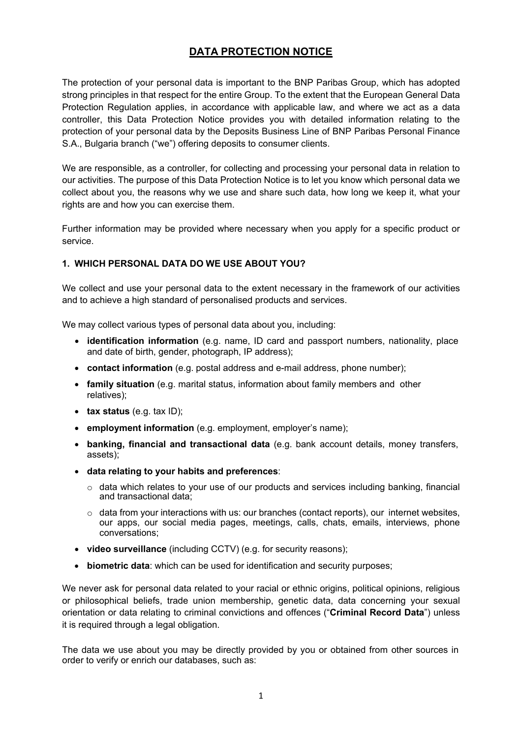# **DATA PROTECTION NOTICE**

The protection of your personal data is important to the BNP Paribas Group, which has adopted strong principles in that respect for the entire Group. To the extent that the European General Data Protection Regulation applies, in accordance with applicable law, and where we act as a data controller, this Data Protection Notice provides you with detailed information relating to the protection of your personal data by the Deposits Business Line of BNP Paribas Personal Finance S.A., Bulgaria branch ("we") offering deposits to consumer clients.

We are responsible, as a controller, for collecting and processing your personal data in relation to our activities. The purpose of this Data Protection Notice is to let you know which personal data we collect about you, the reasons why we use and share such data, how long we keep it, what your rights are and how you can exercise them.

Further information may be provided where necessary when you apply for a specific product or service.

# **1. WHICH PERSONAL DATA DO WE USE ABOUT YOU?**

We collect and use your personal data to the extent necessary in the framework of our activities and to achieve a high standard of personalised products and services.

We may collect various types of personal data about you, including:

- **identification information** (e.g. name, ID card and passport numbers, nationality, place and date of birth, gender, photograph, IP address);
- **contact information** (e.g. postal address and e-mail address, phone number);
- **family situation** (e.g. marital status, information about family members and other relatives);
- **tax status** (e.g. tax ID);
- **employment information** (e.g. employment, employer's name);
- **banking, financial and transactional data** (e.g. bank account details, money transfers, assets);
- **data relating to your habits and preferences**:
	- $\circ$  data which relates to your use of our products and services including banking, financial and transactional data;
	- o data from your interactions with us: our branches (contact reports), our internet websites, our apps, our social media pages, meetings, calls, chats, emails, interviews, phone conversations;
- **video surveillance** (including CCTV) (e.g. for security reasons);
- **biometric data**: which can be used for identification and security purposes;

We never ask for personal data related to your racial or ethnic origins, political opinions, religious or philosophical beliefs, trade union membership, genetic data, data concerning your sexual orientation or data relating to criminal convictions and offences ("**Criminal Record Data**") unless it is required through a legal obligation.

The data we use about you may be directly provided by you or obtained from other sources in order to verify or enrich our databases, such as: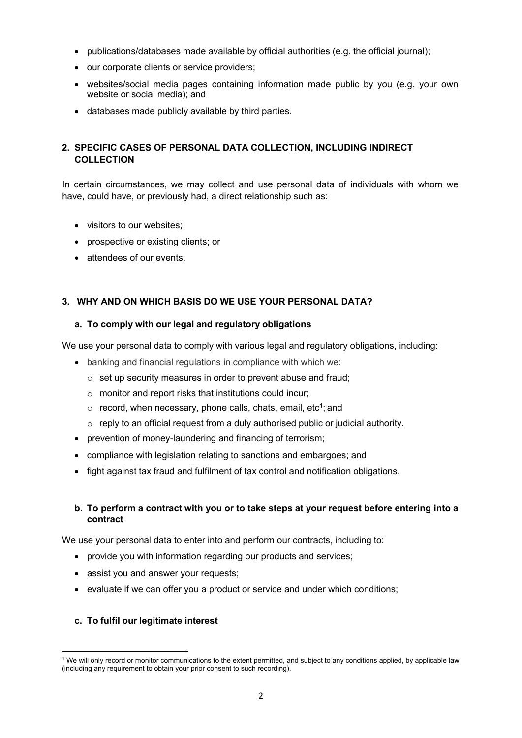- publications/databases made available by official authorities (e.g. the official journal);
- our corporate clients or service providers;
- websites/social media pages containing information made public by you (e.g. your own website or social media); and
- databases made publicly available by third parties.

# **2. SPECIFIC CASES OF PERSONAL DATA COLLECTION, INCLUDING INDIRECT COLLECTION**

In certain circumstances, we may collect and use personal data of individuals with whom we have, could have, or previously had, a direct relationship such as:

- visitors to our websites;
- prospective or existing clients; or
- attendees of our events.

# **3. WHY AND ON WHICH BASIS DO WE USE YOUR PERSONAL DATA?**

### **a. To comply with our legal and regulatory obligations**

We use your personal data to comply with various legal and regulatory obligations, including:

- banking and financial regulations in compliance with which we:
	- o set up security measures in order to prevent abuse and fraud;
	- o monitor and report risks that institutions could incur;
	- $\circ$  record, when necessary, phone calls, chats, email, etc<sup>1</sup>; and
	- $\circ$  reply to an official request from a duly authorised public or judicial authority.
- prevention of money-laundering and financing of terrorism;
- compliance with legislation relating to sanctions and embargoes; and
- fight against tax fraud and fulfilment of tax control and notification obligations.

# **b. To perform a contract with you or to take steps at your request before entering into a contract**

We use your personal data to enter into and perform our contracts, including to:

- provide you with information regarding our products and services;
- assist you and answer your requests;
- evaluate if we can offer you a product or service and under which conditions;

### **c. To fulfil our legitimate interest**

<span id="page-1-0"></span><sup>&</sup>lt;sup>1</sup> We will only record or monitor communications to the extent permitted, and subject to any conditions applied, by applicable law (including any requirement to obtain your prior consent to such recording).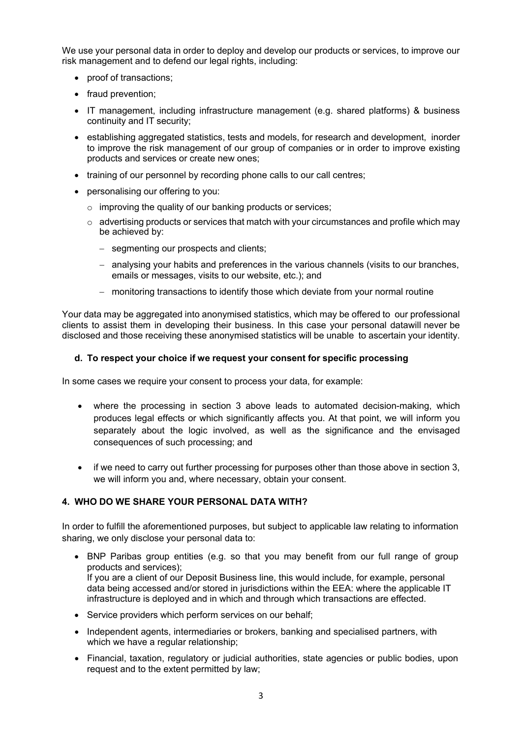We use your personal data in order to deploy and develop our products or services, to improve our risk management and to defend our legal rights, including:

- proof of transactions;
- fraud prevention;
- IT management, including infrastructure management (e.g. shared platforms) & business continuity and IT security;
- establishing aggregated statistics, tests and models, for research and development, inorder to improve the risk management of our group of companies or in order to improve existing products and services or create new ones;
- training of our personnel by recording phone calls to our call centres;
- personalising our offering to you:
	- o improving the quality of our banking products or services;
	- $\circ$  advertising products or services that match with your circumstances and profile which may be achieved by:
		- − segmenting our prospects and clients;
		- − analysing your habits and preferences in the various channels (visits to our branches, emails or messages, visits to our website, etc.); and
		- − monitoring transactions to identify those which deviate from your normal routine

Your data may be aggregated into anonymised statistics, which may be offered to our professional clients to assist them in developing their business. In this case your personal datawill never be disclosed and those receiving these anonymised statistics will be unable to ascertain your identity.

#### **d. To respect your choice if we request your consent for specific processing**

In some cases we require your consent to process your data, for example:

- where the processing in section 3 above leads to automated decision-making, which produces legal effects or which significantly affects you. At that point, we will inform you separately about the logic involved, as well as the significance and the envisaged consequences of such processing; and
- if we need to carry out further processing for purposes other than those above in section 3, we will inform you and, where necessary, obtain your consent.

### **4. WHO DO WE SHARE YOUR PERSONAL DATA WITH?**

In order to fulfill the aforementioned purposes, but subject to applicable law relating to information sharing, we only disclose your personal data to:

- BNP Paribas group entities (e.g. so that you may benefit from our full range of group products and services); If you are a client of our Deposit Business line, this would include, for example, personal data being accessed and/or stored in jurisdictions within the EEA: where the applicable IT infrastructure is deployed and in which and through which transactions are effected.
- Service providers which perform services on our behalf;
- Independent agents, intermediaries or brokers, banking and specialised partners, with which we have a regular relationship;
- Financial, taxation, regulatory or judicial authorities, state agencies or public bodies, upon request and to the extent permitted by law;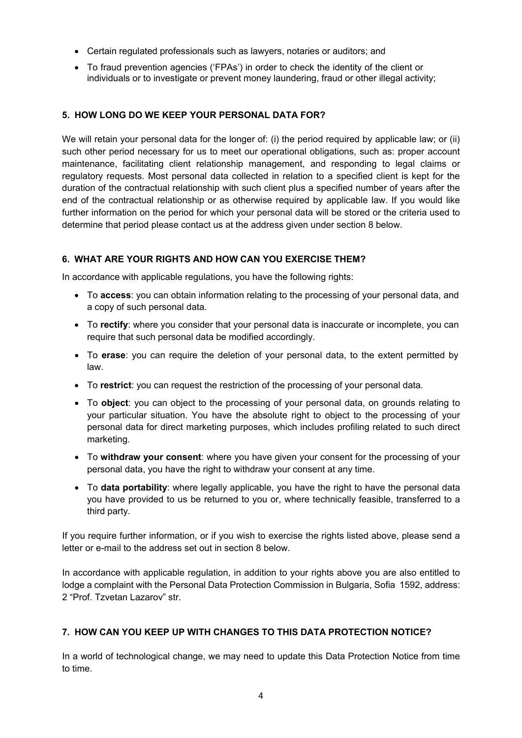- Certain regulated professionals such as lawyers, notaries or auditors; and
- To fraud prevention agencies ('FPAs') in order to check the identity of the client or individuals or to investigate or prevent money laundering, fraud or other illegal activity;

# **5. HOW LONG DO WE KEEP YOUR PERSONAL DATA FOR?**

We will retain your personal data for the longer of: (i) the period required by applicable law; or (ii) such other period necessary for us to meet our operational obligations, such as: proper account maintenance, facilitating client relationship management, and responding to legal claims or regulatory requests. Most personal data collected in relation to a specified client is kept for the duration of the contractual relationship with such client plus a specified number of years after the end of the contractual relationship or as otherwise required by applicable law. If you would like further information on the period for which your personal data will be stored or the criteria used to determine that period please contact us at the address given under section 8 below.

# **6. WHAT ARE YOUR RIGHTS AND HOW CAN YOU EXERCISE THEM?**

In accordance with applicable regulations, you have the following rights:

- To **access**: you can obtain information relating to the processing of your personal data, and a copy of such personal data.
- To **rectify**: where you consider that your personal data is inaccurate or incomplete, you can require that such personal data be modified accordingly.
- To **erase**: you can require the deletion of your personal data, to the extent permitted by law.
- To **restrict**: you can request the restriction of the processing of your personal data.
- To **object**: you can object to the processing of your personal data, on grounds relating to your particular situation. You have the absolute right to object to the processing of your personal data for direct marketing purposes, which includes profiling related to such direct marketing.
- To **withdraw your consent**: where you have given your consent for the processing of your personal data, you have the right to withdraw your consent at any time.
- To **data portability**: where legally applicable, you have the right to have the personal data you have provided to us be returned to you or, where technically feasible, transferred to a third party.

If you require further information, or if you wish to exercise the rights listed above, please send a letter or e-mail to the address set out in section 8 below.

In accordance with applicable regulation, in addition to your rights above you are also entitled to lodge a complaint with the Personal Data Protection Commission in Bulgaria, Sofia 1592, address: 2 "Prof. Tzvetan Lazarov" str.

### **7. HOW CAN YOU KEEP UP WITH CHANGES TO THIS DATA PROTECTION NOTICE?**

In a world of technological change, we may need to update this Data Protection Notice from time to time.